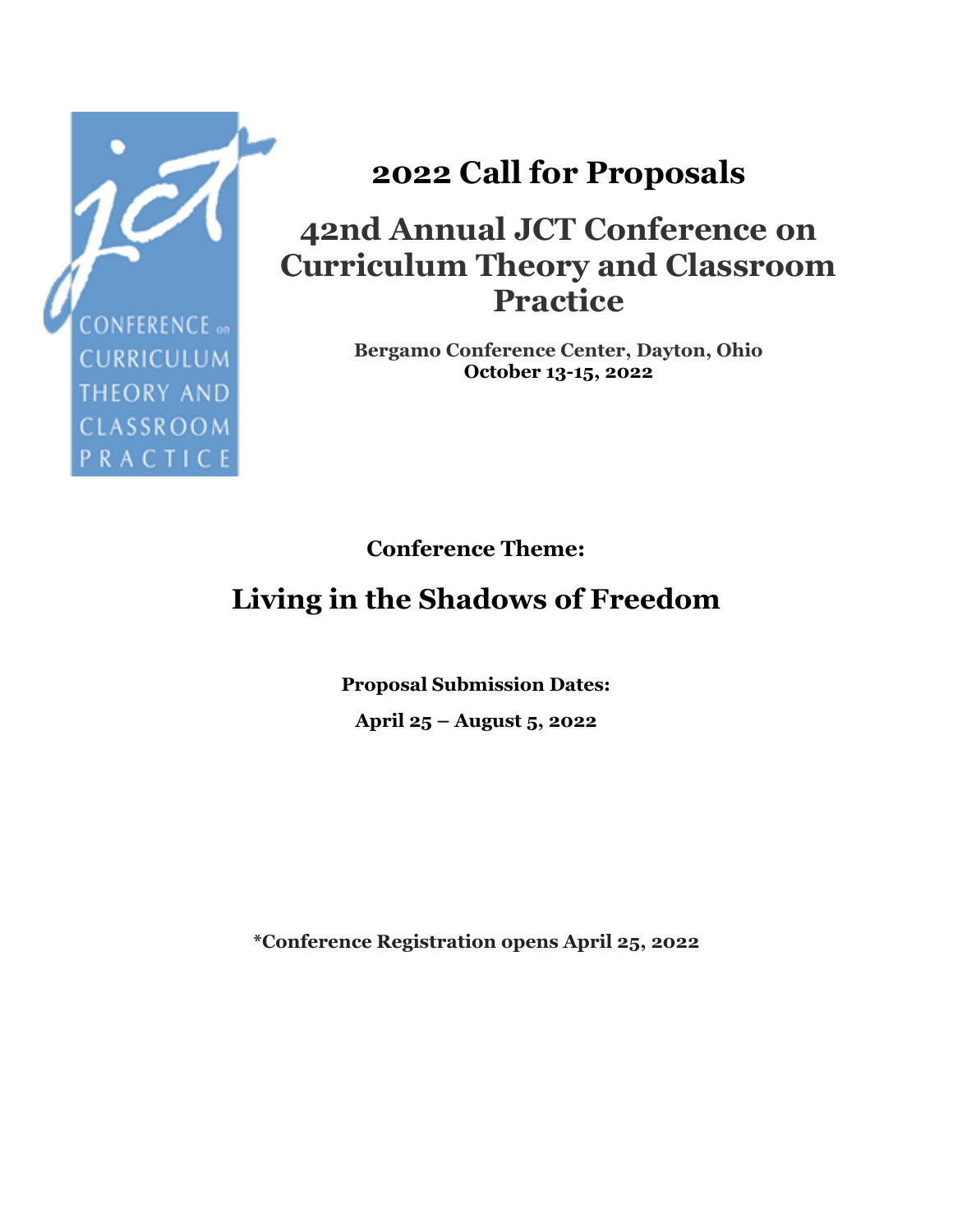

# **2022 Call for Proposals**

### **42nd Annual JCT Conference on Curriculum Theory and Classroom Practice**

**Bergamo Conference Center, Dayton, Ohio October 13-15, 2022**

**Conference Theme:**

## **Living in the Shadows of Freedom**

**Proposal Submission Dates: April 25 – August 5, 2022**

**\*Conference Registration opens April 25, 2022**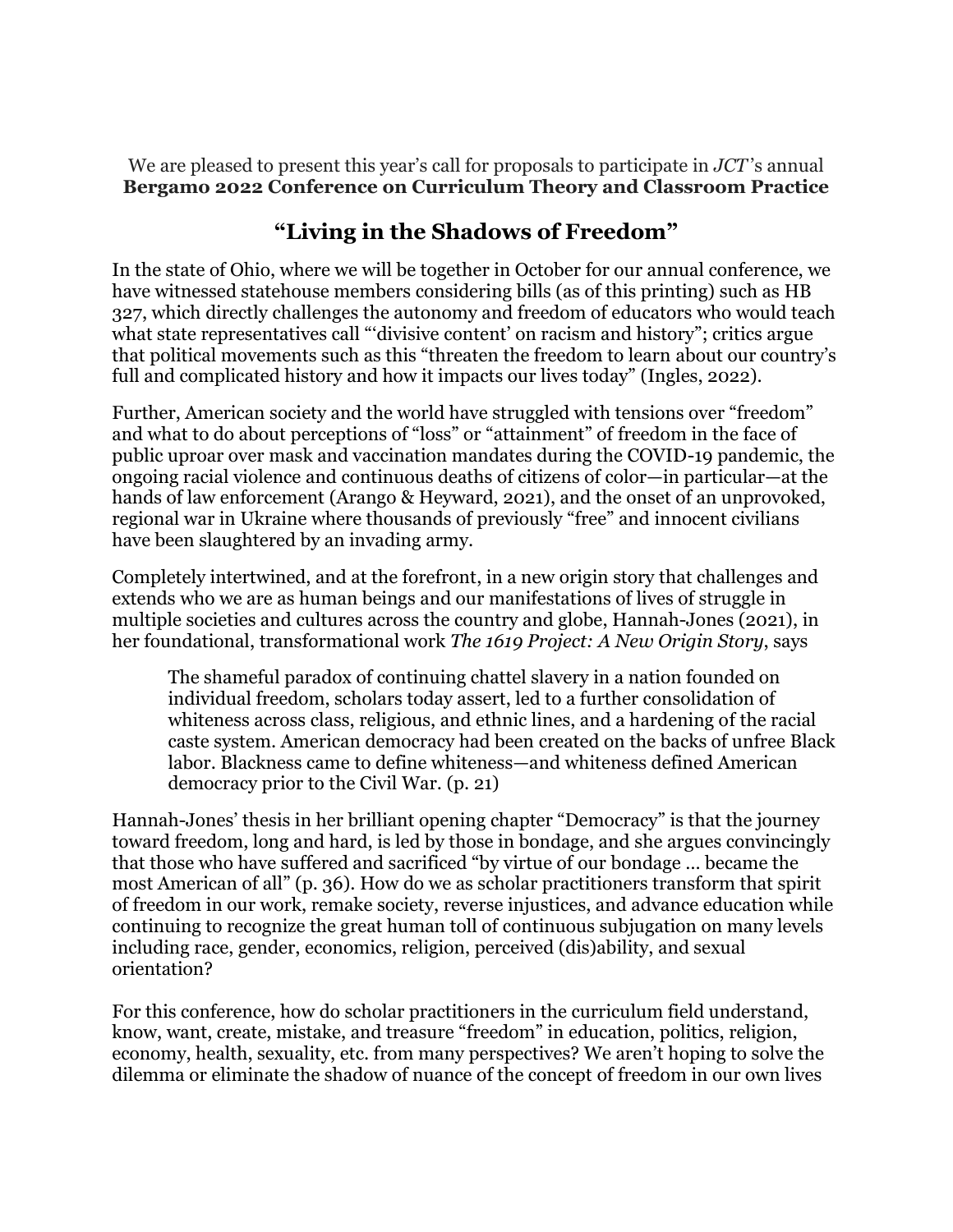We are pleased to present this year's call for proposals to participate in *JCT* 's annual **Bergamo 2022 Conference on Curriculum Theory and Classroom Practice**

#### **"Living in the Shadows of Freedom"**

In the state of Ohio, where we will be together in October for our annual conference, we have witnessed statehouse members considering bills (as of this printing) such as HB 327, which directly challenges the autonomy and freedom of educators who would teach what state representatives call "'divisive content' on racism and history"; critics argue that political movements such as this "threaten the freedom to learn about our country's full and complicated history and how it impacts our lives today" (Ingles, 2022).

Further, American society and the world have struggled with tensions over "freedom" and what to do about perceptions of "loss" or "attainment" of freedom in the face of public uproar over mask and vaccination mandates during the COVID-19 pandemic, the ongoing racial violence and continuous deaths of citizens of color—in particular—at the hands of law enforcement (Arango & Heyward, 2021), and the onset of an unprovoked, regional war in Ukraine where thousands of previously "free" and innocent civilians have been slaughtered by an invading army.

Completely intertwined, and at the forefront, in a new origin story that challenges and extends who we are as human beings and our manifestations of lives of struggle in multiple societies and cultures across the country and globe, Hannah-Jones (2021), in her foundational, transformational work *The 1619 Project: A New Origin Story*, says

The shameful paradox of continuing chattel slavery in a nation founded on individual freedom, scholars today assert, led to a further consolidation of whiteness across class, religious, and ethnic lines, and a hardening of the racial caste system. American democracy had been created on the backs of unfree Black labor. Blackness came to define whiteness—and whiteness defined American democracy prior to the Civil War. (p. 21)

Hannah-Jones' thesis in her brilliant opening chapter "Democracy" is that the journey toward freedom, long and hard, is led by those in bondage, and she argues convincingly that those who have suffered and sacrificed "by virtue of our bondage … became the most American of all" (p. 36). How do we as scholar practitioners transform that spirit of freedom in our work, remake society, reverse injustices, and advance education while continuing to recognize the great human toll of continuous subjugation on many levels including race, gender, economics, religion, perceived (dis)ability, and sexual orientation?

For this conference, how do scholar practitioners in the curriculum field understand, know, want, create, mistake, and treasure "freedom" in education, politics, religion, economy, health, sexuality, etc. from many perspectives? We aren't hoping to solve the dilemma or eliminate the shadow of nuance of the concept of freedom in our own lives